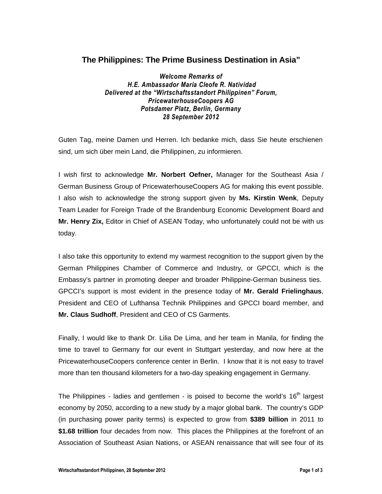## **The Philippines: The Prime Business Destination in Asia"**

*Welcome Remarks of H.E. Ambassador Maria Cleofe R. Natividad Delivered at the "Wirtschaftsstandort Philippinen" Forum, PricewaterhouseCoopers AG Potsdamer Platz, Berlin, Germany 28 September 2012* 

Guten Tag, meine Damen und Herren. Ich bedanke mich, dass Sie heute erschienen sind, um sich über mein Land, die Philippinen, zu informieren.

I wish first to acknowledge **Mr. Norbert Oefner,** Manager for the Southeast Asia / German Business Group of PricewaterhouseCoopers AG for making this event possible. I also wish to acknowledge the strong support given by **Ms. Kirstin Wenk**, Deputy Team Leader for Foreign Trade of the Brandenburg Economic Development Board and **Mr. Henry Zix,** Editor in Chief of ASEAN Today, who unfortunately could not be with us today.

I also take this opportunity to extend my warmest recognition to the support given by the German Philippines Chamber of Commerce and Industry, or GPCCI, which is the Embassy's partner in promoting deeper and broader Philippine-German business ties. GPCCI's support is most evident in the presence today of **Mr. Gerald Frielinghaus**, President and CEO of Lufthansa Technik Philippines and GPCCI board member, and **Mr. Claus Sudhoff**, President and CEO of CS Garments.

Finally, I would like to thank Dr. Lilia De Lima, and her team in Manila, for finding the time to travel to Germany for our event in Stuttgart yesterday, and now here at the PricewaterhouseCoopers conference center in Berlin. I know that it is not easy to travel more than ten thousand kilometers for a two-day speaking engagement in Germany.

The Philippines - ladies and gentlemen - is poised to become the world's  $16<sup>th</sup>$  largest economy by 2050, according to a new study by a major global bank. The country's GDP (in purchasing power parity terms) is expected to grow from **\$389 billion** in 2011 to **\$1.68 trillion** four decades from now. This places the Philippines at the forefront of an Association of Southeast Asian Nations, or ASEAN renaissance that will see four of its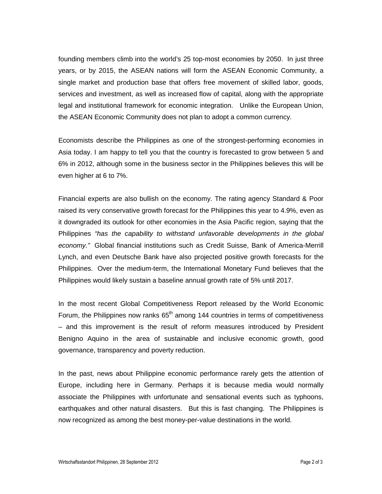founding members climb into the world's 25 top-most economies by 2050. In just three years, or by 2015, the ASEAN nations will form the ASEAN Economic Community, a single market and production base that offers free movement of skilled labor, goods, services and investment, as well as increased flow of capital, along with the appropriate legal and institutional framework for economic integration. Unlike the European Union, the ASEAN Economic Community does not plan to adopt a common currency.

Economists describe the Philippines as one of the strongest-performing economies in Asia today. I am happy to tell you that the country is forecasted to grow between 5 and 6% in 2012, although some in the business sector in the Philippines believes this will be even higher at 6 to 7%.

Financial experts are also bullish on the economy. The rating agency Standard & Poor raised its very conservative growth forecast for the Philippines this year to 4.9%, even as it downgraded its outlook for other economies in the Asia Pacific region, saying that the Philippines "has the capability to withstand unfavorable developments in the global economy." Global financial institutions such as Credit Suisse, Bank of America-Merrill Lynch, and even Deutsche Bank have also projected positive growth forecasts for the Philippines. Over the medium-term, the International Monetary Fund believes that the Philippines would likely sustain a baseline annual growth rate of 5% until 2017.

In the most recent Global Competitiveness Report released by the World Economic Forum, the Philippines now ranks  $65<sup>th</sup>$  among 144 countries in terms of competitiveness – and this improvement is the result of reform measures introduced by President Benigno Aquino in the area of sustainable and inclusive economic growth, good governance, transparency and poverty reduction.

In the past, news about Philippine economic performance rarely gets the attention of Europe, including here in Germany. Perhaps it is because media would normally associate the Philippines with unfortunate and sensational events such as typhoons, earthquakes and other natural disasters. But this is fast changing. The Philippines is now recognized as among the best money-per-value destinations in the world.